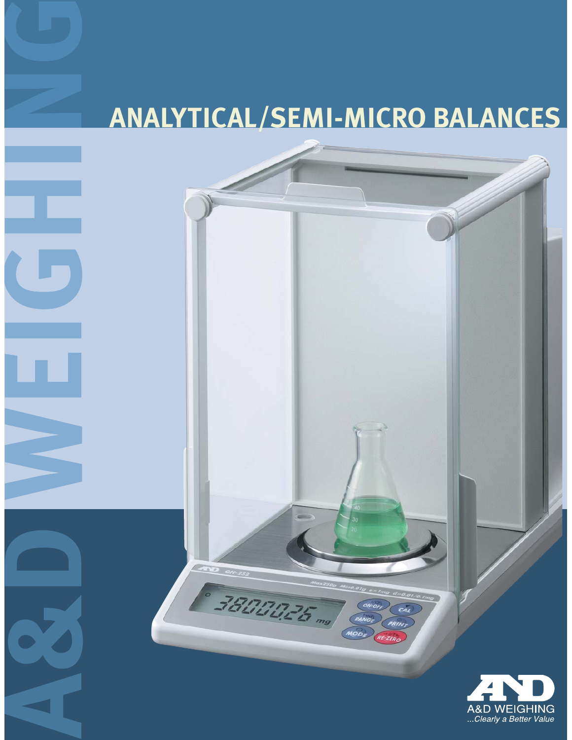# **ANALYTICAL/SEMI-MICRO BALANCES**

CEND O

3800025 mg

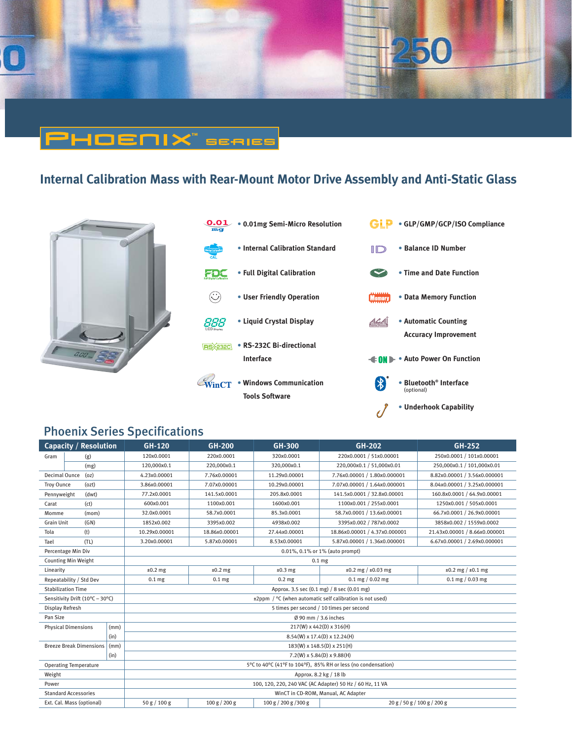

# **Internal Calibration Mass with Rear-Mount Motor Drive Assembly and Anti-Static Glass**

PHOENIX" seales







### Phoenix Series Specifications

| <b>Capacity / Resolution</b>           |                            | <b>GH-120</b>                | <b>GH-200</b>                                                 | GH-300                | <b>GH-202</b>                | GH-252                        |                               |  |  |
|----------------------------------------|----------------------------|------------------------------|---------------------------------------------------------------|-----------------------|------------------------------|-------------------------------|-------------------------------|--|--|
| Gram                                   | (g)                        |                              | 120x0.0001                                                    | 220x0.0001            | 320x0.0001                   | 220x0.0001 / 51x0.00001       | 250x0.0001 / 101x0.00001      |  |  |
|                                        | (mg)                       |                              | 120,000x0.1                                                   | 220,000x0.1           | 320,000x0.1                  | 220.000x0.1 / 51.000x0.01     | 250,000x0.1 / 101,000x0.01    |  |  |
| (oz)<br>Decimal Ounce                  |                            | 4.23x0.00001                 | 7.76x0.00001                                                  | 11.29x0.00001         | 7.76x0.00001 / 1.80x0.000001 | 8.82x0.00001 / 3.56x0.000001  |                               |  |  |
| Troy Ounce                             | (ozt)                      |                              | 3.86x0.00001                                                  | 7.07x0.00001          | 10.29x0.00001                | 7.07x0.00001 / 1.64x0.000001  | 8.04x0.00001 / 3.25x0.000001  |  |  |
| Pennyweight                            | (dwt)                      |                              | 77.2x0.0001                                                   | 141.5x0.0001          | 205.8x0.0001                 | 141.5x0.0001 / 32.8x0.00001   | 160.8x0.0001 / 64.9x0.00001   |  |  |
| Carat                                  | (ct)                       |                              | 600x0.001                                                     | 1100x0.001            | 1600x0.001                   | 1100x0.001 / 255x0.0001       | 1250x0.001 / 505x0.0001       |  |  |
| Momme                                  | (mom)                      |                              | 32.0x0.0001                                                   | 58.7x0.0001           | 85.3x0.0001                  | 58.7x0.0001 / 13.6x0.00001    | 66.7x0.0001 / 26.9x0.00001    |  |  |
| <b>Grain Unit</b>                      | (GN)                       |                              | 1852x0.002                                                    | 3395x0.002            | 4938x0.002                   | 3395x0.002 / 787x0.0002       | 3858x0.002 / 1559x0.0002      |  |  |
| (t)<br>Tola                            |                            |                              | 10.29x0.00001                                                 | 18.86x0.00001         | 27.44x0.00001                | 18.86x0.00001 / 4.37x0.000001 | 21.43x0.00001 / 8.66x0.000001 |  |  |
| Tael                                   | (TL)                       |                              | 3.20x0.00001                                                  | 5.87x0.00001          | 8.53x0.00001                 | 5.87x0.00001 / 1.36x0.000001  | 6.67x0.00001 / 2.69x0.000001  |  |  |
| Percentage Min Div                     |                            |                              | 0.01%, 0.1% or 1% (auto prompt)                               |                       |                              |                               |                               |  |  |
| <b>Counting Min Weight</b>             |                            |                              | 0.1 <sub>mg</sub>                                             |                       |                              |                               |                               |  |  |
| Linearity                              |                            |                              | $±0.2$ mg                                                     | $±0.2$ mg             | $±0.3$ mg                    | $±0.2$ mg / $±0.03$ mg        | $±0.2$ mg $/±0.1$ mg          |  |  |
| Repeatability / Std Dev                |                            |                              | 0.1 <sub>mg</sub>                                             | 0.1 <sub>mg</sub>     | 0.2 <sub>mg</sub>            | $0.1$ mg $/ 0.02$ mg          | $0.1$ mg $/ 0.03$ mg          |  |  |
| <b>Stabilization Time</b>              |                            |                              | Approx. 3.5 sec (0.1 mg) / 8 sec (0.01 mg)                    |                       |                              |                               |                               |  |  |
| Sensitivity Drift (10°C - 30°C)        |                            |                              | ±2ppm / °C (when automatic self calibration is not used)      |                       |                              |                               |                               |  |  |
| Display Refresh                        |                            |                              | 5 times per second / 10 times per second                      |                       |                              |                               |                               |  |  |
| Pan Size                               |                            |                              | Ø 90 mm / 3.6 inches                                          |                       |                              |                               |                               |  |  |
|                                        | <b>Physical Dimensions</b> | (mm)                         | 217(W) x 442(D) x 316(H)                                      |                       |                              |                               |                               |  |  |
| (in)                                   |                            |                              | 8.54(W) x 17.4(D) x 12.24(H)                                  |                       |                              |                               |                               |  |  |
| <b>Breeze Break Dimensions</b><br>(mm) |                            |                              | 183(W) x 148.5(D) x 251(H)                                    |                       |                              |                               |                               |  |  |
| (in)                                   |                            | $7.2(W)$ x 5.84(D) x 9.88(H) |                                                               |                       |                              |                               |                               |  |  |
| <b>Operating Temperature</b>           |                            |                              | 5°C to 40°C (41°F to 104°F), 85% RH or less (no condensation) |                       |                              |                               |                               |  |  |
| Weight                                 |                            |                              | Approx. 8.2 kg / 18 lb                                        |                       |                              |                               |                               |  |  |
| Power                                  |                            |                              | 100, 120, 220, 240 VAC (AC Adapter) 50 Hz / 60 Hz, 11 VA      |                       |                              |                               |                               |  |  |
| <b>Standard Accessories</b>            |                            |                              | WinCT in CD-ROM, Manual, AC Adapter                           |                       |                              |                               |                               |  |  |
| Ext. Cal. Mass (optional)              |                            | 50 g / 100 g                 | 100 g / 200 g                                                 | 100 g / 200 g / 300 g |                              | 20 g / 50 g / 100 g / 200 g   |                               |  |  |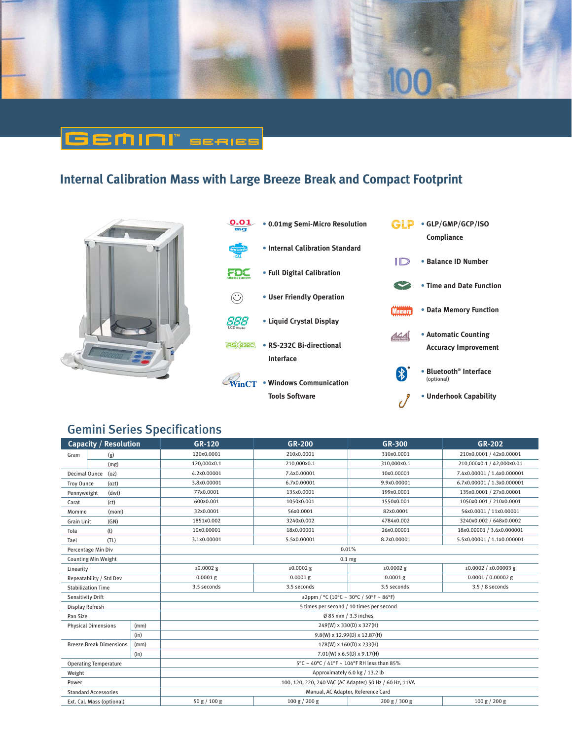

## <u>GEMINI" seales</u>

### **Internal Calibration Mass with Large Breeze Break and Compact Footprint**







### Gemini Series Specifications

| Capacity / Resolution          |      | <b>GR-120</b>                                           | $GR-200$                 |               | $GR-202$                     |  |  |  |
|--------------------------------|------|---------------------------------------------------------|--------------------------|---------------|------------------------------|--|--|--|
| (g)<br>Gram                    |      | 120x0.0001                                              | 210x0.0001               | 310x0.0001    | 210x0.0001 / 42x0.00001      |  |  |  |
| (mg)                           |      | 120,000x0.1                                             | 210,000x0.1              | 310,000x0.1   | 210,000x0.1 / 42,000x0.01    |  |  |  |
| Decimal Ounce<br>(oz)          |      | 4.2x0.00001                                             | 7.4x0.00001              | 10x0.00001    | 7.4x0.00001 / 1.4x0.000001   |  |  |  |
| Troy Ounce<br>(ozt)            |      | 3.8x0.00001                                             | 6.7x0.00001              | 9.9x0.00001   | 6.7x0.00001 / 1.3x0.000001   |  |  |  |
| Pennyweight<br>(dwt)           |      | 77x0.0001                                               | 135x0.0001               | 199x0.0001    | 135x0.0001 / 27x0.00001      |  |  |  |
| (ct)<br>Carat                  |      | 600x0.001                                               | 1050x0.001<br>1550x0.001 |               | 1050x0.001 / 210x0.0001      |  |  |  |
| Momme<br>(mom)                 |      | 32x0.0001                                               | 56x0.0001                | 82x0.0001     | 56x0.0001 / 11x0.00001       |  |  |  |
| <b>Grain Unit</b><br>(GN)      |      | 1851x0.002                                              | 3240x0.002               | 4784x0.002    | 3240x0.002 / 648x0.0002      |  |  |  |
| (t)<br>Tola                    |      | 10x0.00001                                              | 18x0.00001               | 26x0.00001    | 18x0.00001 / 3.6x0.000001    |  |  |  |
| (TL)<br>Tael                   |      | 3.1x0.00001                                             | 5.5x0.00001              | 8.2x0.00001   | 5.5x0.00001 / 1.1x0.000001   |  |  |  |
| Percentage Min Div             |      | 0.01%                                                   |                          |               |                              |  |  |  |
| <b>Counting Min Weight</b>     |      | 0.1 <sub>mg</sub>                                       |                          |               |                              |  |  |  |
| Linearity                      |      | $±0.0002$ g                                             | $±0.0002$ g              | $±0.0002$ g   | $\pm 0.0002 / \pm 0.00003$ g |  |  |  |
| Repeatability / Std Dev        |      | $0.0001$ g                                              | $0.0001$ g               | $0.0001$ g    | $0.0001 / 0.00002$ g         |  |  |  |
| <b>Stabilization Time</b>      |      | 3.5 seconds                                             | 3.5 seconds              | 3.5 seconds   | $3.5/8$ seconds              |  |  |  |
| Sensitivity Drift              |      | $\pm 2$ ppm / °C (10°C ~ 30°C / 50°F ~ 86°F)            |                          |               |                              |  |  |  |
| Display Refresh                |      | 5 times per second / 10 times per second                |                          |               |                              |  |  |  |
| Pan Size                       |      | $Ø$ 85 mm $/$ 3.3 inches                                |                          |               |                              |  |  |  |
| <b>Physical Dimensions</b>     | (mm) | 249(W) x 330(D) x 327(H)                                |                          |               |                              |  |  |  |
|                                | (in) | 9.8(W) x 12.99(D) x 12.87(H)                            |                          |               |                              |  |  |  |
| <b>Breeze Break Dimensions</b> | (mm) | 178(W) x 160(D) x 233(H)                                |                          |               |                              |  |  |  |
| (in)                           |      | $7.01(W)$ x 6.5(D) x 9.17(H)                            |                          |               |                              |  |  |  |
| <b>Operating Temperature</b>   |      | 5°C ~ 40°C / 41°F ~ 104°F RH less than 85%              |                          |               |                              |  |  |  |
| Weight                         |      | Approximately 6.0 kg / 13.2 lb                          |                          |               |                              |  |  |  |
| Power                          |      | 100, 120, 220, 240 VAC (AC Adapter) 50 Hz / 60 Hz, 11VA |                          |               |                              |  |  |  |
| <b>Standard Accessories</b>    |      | Manual, AC Adapter, Reference Card                      |                          |               |                              |  |  |  |
| Ext. Cal. Mass (optional)      |      | 50 g / 100 g                                            | 100 g / 200 g            | 200 g / 300 g | 100 g / 200 g                |  |  |  |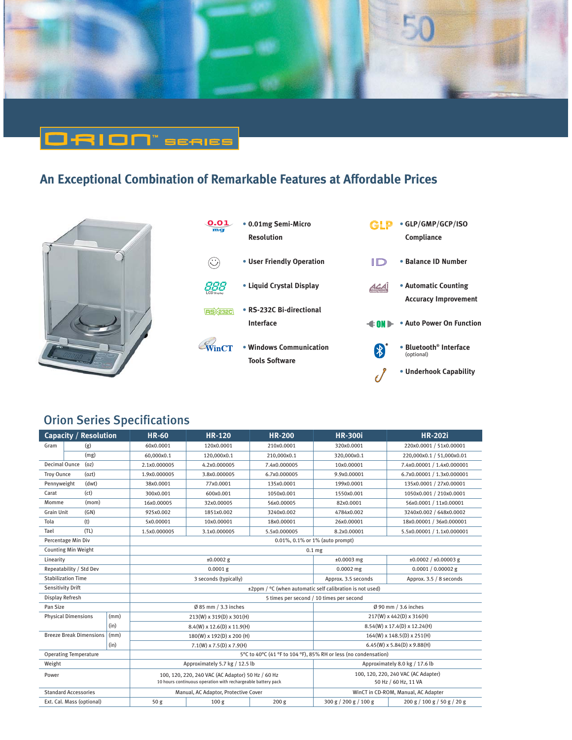

## O-RION" seales

### **An Exceptional Combination of Remarkable Features at Affordable Prices**







### Orion Series Specifications

| <b>Capacity / Resolution</b>                  |  | <b>HR-60</b>                                                                                                      | <b>HR-120</b>                                                               | <b>HR-200</b>    | <b>HR-300i</b>                                              | <b>HR-202i</b>               |  |  |
|-----------------------------------------------|--|-------------------------------------------------------------------------------------------------------------------|-----------------------------------------------------------------------------|------------------|-------------------------------------------------------------|------------------------------|--|--|
| Gram<br>(g)                                   |  | 60x0.0001                                                                                                         | 120x0.0001                                                                  | 210x0.0001       | 320x0.0001                                                  | 220x0.0001 / 51x0.00001      |  |  |
| (mg)                                          |  | 60,000x0.1                                                                                                        | 120,000x0.1                                                                 | 210,000x0.1      | 320,000x0.1                                                 | 220,000x0.1 / 51,000x0.01    |  |  |
| Decimal Ounce<br>(oz)                         |  | 2.1x0.000005                                                                                                      | 4.2x0.000005                                                                | 7.4x0.000005     | 10x0.00001                                                  | 7.4x0.00001 / 1.4x0.000001   |  |  |
| (ozt)<br><b>Troy Ounce</b>                    |  | 1.9x0.000005                                                                                                      | 3.8x0.000005                                                                | 6.7x0.000005     | 9.9x0.00001                                                 | 6.7x0.00001 / 1.3x0.000001   |  |  |
| (dwt)<br>Pennyweight                          |  | 38x0.0001                                                                                                         | 77x0.0001                                                                   | 135x0.0001       | 199x0.0001                                                  | 135x0.0001 / 27x0.00001      |  |  |
| (ct)<br>Carat                                 |  | 300x0.001                                                                                                         | 600x0.001                                                                   | 1050x0.001       | 1550x0.001                                                  | 1050x0.001 / 210x0.0001      |  |  |
| Momme<br>(mom)                                |  | 16x0.00005                                                                                                        | 32x0.00005                                                                  | 56x0.00005       | 82x0.0001                                                   | 56x0.0001 / 11x0.00001       |  |  |
| <b>Grain Unit</b><br>(GN)                     |  | 925x0.002                                                                                                         | 1851x0.002                                                                  | 3240x0.002       | 4784x0.002                                                  | 3240x0.002 / 648x0.0002      |  |  |
| Tola<br>(t)                                   |  | 5x0.00001                                                                                                         | 10x0.00001                                                                  | 18x0.00001       | 26x0.00001                                                  | 18x0.00001 / 36x0.000001     |  |  |
| (TL)<br>Tael                                  |  | 1.5x0.000005                                                                                                      | 3.1x0.000005                                                                | 5.5x0.000005     | 8.2x0.00001                                                 | 5.5x0.00001 / 1.1x0.000001   |  |  |
| Percentage Min Div                            |  | 0.01%, 0.1% or 1% (auto prompt)                                                                                   |                                                                             |                  |                                                             |                              |  |  |
| <b>Counting Min Weight</b>                    |  | 0.1 <sub>mg</sub>                                                                                                 |                                                                             |                  |                                                             |                              |  |  |
| Linearity                                     |  | $±0.0002$ g                                                                                                       |                                                                             |                  | $±0.0003$ mg                                                | $\pm 0.0002 / \pm 0.00003$ g |  |  |
| Repeatability / Std Dev                       |  |                                                                                                                   | $0.0001$ g                                                                  |                  | $0.0002$ mg                                                 | $0.0001 / 0.00002$ g         |  |  |
| <b>Stabilization Time</b>                     |  | 3 seconds (typically)                                                                                             |                                                                             |                  | Approx. 3.5 seconds                                         | Approx. 3.5 / 8 seconds      |  |  |
| Sensitivity Drift                             |  | ±2ppm / °C (when automatic self calibration is not used)                                                          |                                                                             |                  |                                                             |                              |  |  |
| Display Refresh                               |  | 5 times per second / 10 times per second                                                                          |                                                                             |                  |                                                             |                              |  |  |
| Pan Size                                      |  | $Ø$ 85 mm / 3.3 inches                                                                                            |                                                                             |                  | Ø 90 mm / 3.6 inches                                        |                              |  |  |
| <b>Physical Dimensions</b><br>(mm)            |  | 213(W) x 319(D) x 301(H)                                                                                          |                                                                             |                  | 217(W) x 442(D) x 316(H)                                    |                              |  |  |
| (in)                                          |  | 8.4(W) x 12.6(D) x 11.9(H)                                                                                        |                                                                             |                  | 8.54(W) x 17.4(D) x 12.24(H)                                |                              |  |  |
| <b>Breeze Break Dimensions</b><br>$\mid$ (mm) |  | 180(W) x 192(D) x 200 (H)                                                                                         |                                                                             |                  | $164(W)$ x $148.5(D)$ x $251(H)$                            |                              |  |  |
| (in)                                          |  |                                                                                                                   | $7.1(W) \times 7.5(D) \times 7.9(H)$                                        |                  | $6.45(W)$ x 5.84(D) x 9.88(H)                               |                              |  |  |
| <b>Operating Temperature</b>                  |  | 5°C to 40°C (41 °F to 104 °F), 85% RH or less (no condensation)                                                   |                                                                             |                  |                                                             |                              |  |  |
| Weight                                        |  | Approximately 5.7 kg / 12.5 lb                                                                                    |                                                                             |                  | Approximately 8.0 kg / 17.6 lb                              |                              |  |  |
| Power                                         |  | 100, 120, 220, 240 VAC (AC Adaptor) 50 Hz / 60 Hz<br>10 hours continuous operation with rechargeable battery pack |                                                                             |                  | 100, 120, 220, 240 VAC (AC Adapter)<br>50 Hz / 60 Hz, 11 VA |                              |  |  |
| <b>Standard Accessories</b>                   |  |                                                                                                                   | Manual, AC Adaptor, Protective Cover<br>WinCT in CD-ROM, Manual, AC Adapter |                  |                                                             |                              |  |  |
| Ext. Cal. Mass (optional)                     |  | 50 <sub>g</sub>                                                                                                   | 100 <sub>g</sub>                                                            | 200 <sub>g</sub> | 300 g / 200 g / 100 g                                       | 200 g / 100 g / 50 g / 20 g  |  |  |